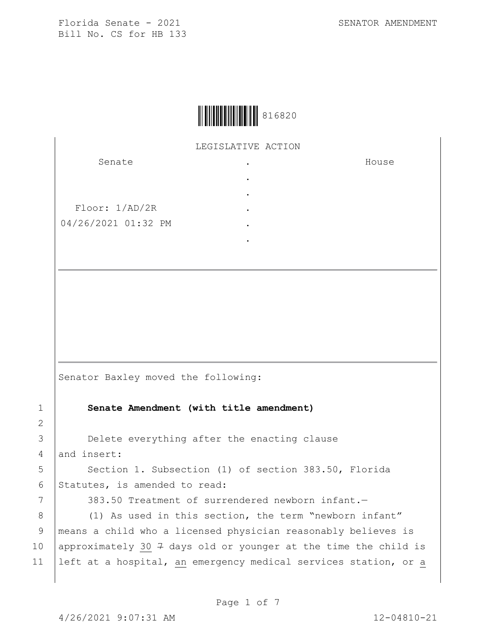House



LEGISLATIVE ACTION .

> . . . . .

Senate

Floor: 1/AD/2R 04/26/2021 01:32 PM

Senator Baxley moved the following:

1 **Senate Amendment (with title amendment)**

3 **Delete everything after the enacting clause** 4 and insert:

5 Section 1. Subsection (1) of section 383.50, Florida 6 Statutes, is amended to read:

7 383.50 Treatment of surrendered newborn infant.

8 (1) As used in this section, the term "newborn infant" 9 means a child who a licensed physician reasonably believes is 10 | approximately 30  $7$  days old or younger at the time the child is 11 left at a hospital, an emergency medical services station, or a

2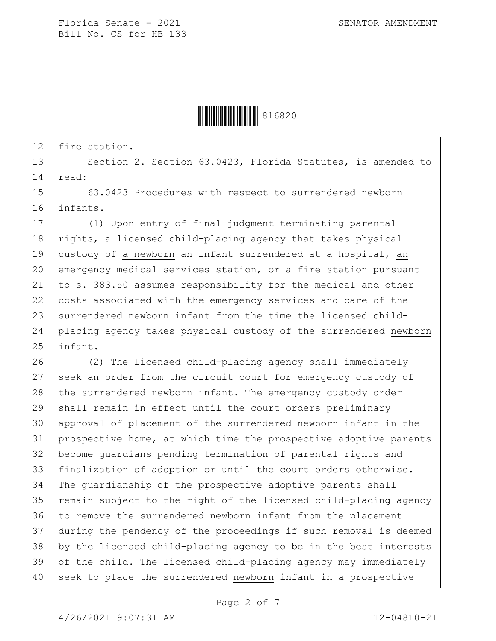

12 | fire station.

13 Section 2. Section 63.0423, Florida Statutes, is amended to  $14$   $\vert$  read:

15 63.0423 Procedures with respect to surrendered newborn 16 infants.—

17 (1) Upon entry of final judgment terminating parental 18 rights, a licensed child-placing agency that takes physical 19 custody of a newborn  $\theta$  an infant surrendered at a hospital, an 20 emergency medical services station, or a fire station pursuant 21  $|$  to s. 383.50 assumes responsibility for the medical and other 22 costs associated with the emergency services and care of the 23 surrendered newborn infant from the time the licensed child-24 placing agency takes physical custody of the surrendered newborn 25 linfant.

26 (2) The licensed child-placing agency shall immediately 27 seek an order from the circuit court for emergency custody of 28 the surrendered newborn infant. The emergency custody order 29 shall remain in effect until the court orders preliminary 30 approval of placement of the surrendered newborn infant in the 31 prospective home, at which time the prospective adoptive parents 32 become guardians pending termination of parental rights and 33 finalization of adoption or until the court orders otherwise. 34 The guardianship of the prospective adoptive parents shall 35 remain subject to the right of the licensed child-placing agency 36 to remove the surrendered newborn infant from the placement 37 during the pendency of the proceedings if such removal is deemed 38 by the licensed child-placing agency to be in the best interests  $39$  of the child. The licensed child-placing agency may immediately 40 seek to place the surrendered newborn infant in a prospective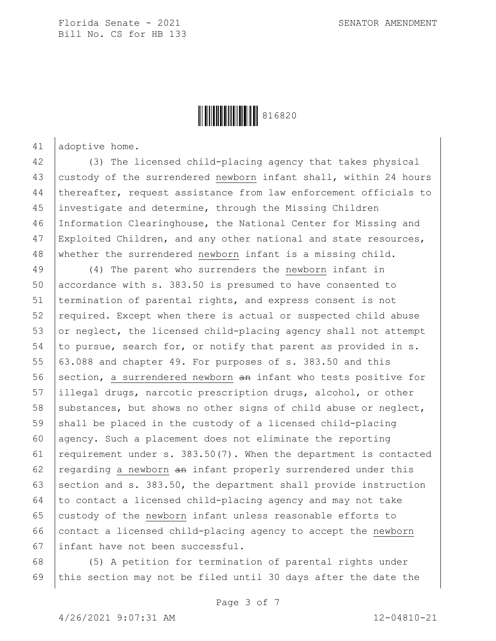

41 adoptive home.

 (3) The licensed child-placing agency that takes physical custody of the surrendered newborn infant shall, within 24 hours thereafter, request assistance from law enforcement officials to investigate and determine, through the Missing Children Information Clearinghouse, the National Center for Missing and Exploited Children, and any other national and state resources, whether the surrendered newborn infant is a missing child.

49 (4) The parent who surrenders the newborn infant in 50 accordance with s. 383.50 is presumed to have consented to 51 termination of parental rights, and express consent is not 52 required. Except when there is actual or suspected child abuse 53 or neglect, the licensed child-placing agency shall not attempt 54 to pursue, search for, or notify that parent as provided in s. 55  $\vert$  63.088 and chapter 49. For purposes of s. 383.50 and this 56 section, a surrendered newborn an infant who tests positive for 57 illegal drugs, narcotic prescription drugs, alcohol, or other 58 substances, but shows no other signs of child abuse or neglect, 59 shall be placed in the custody of a licensed child-placing 60 agency. Such a placement does not eliminate the reporting 61 | requirement under s.  $383.50(7)$ . When the department is contacted 62 regarding a newborn  $\theta$  infant properly surrendered under this 63 section and s.  $383.50$ , the department shall provide instruction  $64$  to contact a licensed child-placing agency and may not take 65 custody of the newborn infant unless reasonable efforts to 66 contact a licensed child-placing agency to accept the newborn 67 infant have not been successful.

68 (5) A petition for termination of parental rights under 69 this section may not be filed until 30 days after the date the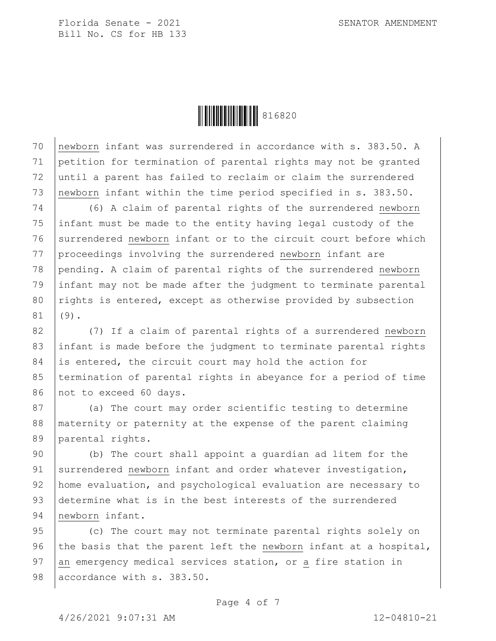

 newborn infant was surrendered in accordance with s. 383.50. A petition for termination of parental rights may not be granted until a parent has failed to reclaim or claim the surrendered 73 newborn infant within the time period specified in s. 383.50.

 (6) A claim of parental rights of the surrendered newborn infant must be made to the entity having legal custody of the 76 surrendered newborn infant or to the circuit court before which proceedings involving the surrendered newborn infant are pending. A claim of parental rights of the surrendered newborn infant may not be made after the judgment to terminate parental 80 rights is entered, except as otherwise provided by subsection  $81 | (9).$ 

82 (7) If a claim of parental rights of a surrendered newborn 83 infant is made before the judgment to terminate parental rights 84 is entered, the circuit court may hold the action for 85 termination of parental rights in abeyance for a period of time 86 not to exceed 60 days.

87 (a) The court may order scientific testing to determine 88 maternity or paternity at the expense of the parent claiming 89 parental rights.

90 (b) The court shall appoint a guardian ad litem for the 91 surrendered newborn infant and order whatever investigation, 92 home evaluation, and psychological evaluation are necessary to 93 determine what is in the best interests of the surrendered 94 newborn infant.

95 (c) The court may not terminate parental rights solely on 96 the basis that the parent left the newborn infant at a hospital, 97 an emergency medical services station, or a fire station in 98 accordance with s. 383.50.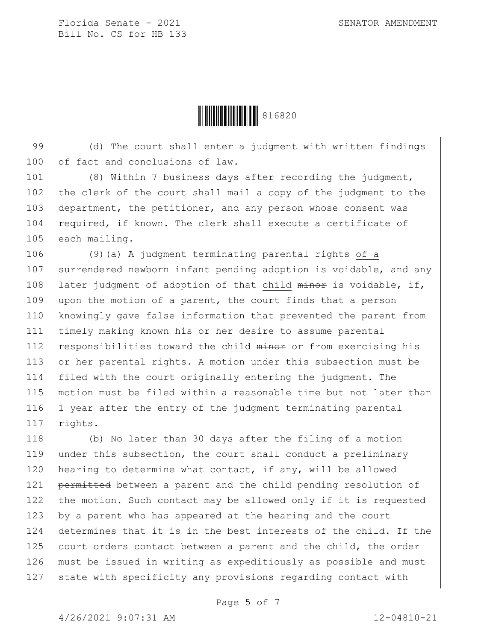**││││││││││││││** 816820

99 (d) The court shall enter a judgment with written findings 100 of fact and conclusions of law.

101 (8) Within 7 business days after recording the judgment, 102 the clerk of the court shall mail a copy of the judgment to the 103 department, the petitioner, and any person whose consent was 104  $|$  required, if known. The clerk shall execute a certificate of 105 each mailing.

106 (9)(a) A judgment terminating parental rights of a 107 surrendered newborn infant pending adoption is voidable, and any 108 Iater judgment of adoption of that child minor is voidable, if, 109 upon the motion of a parent, the court finds that a person 110 knowingly gave false information that prevented the parent from 111 timely making known his or her desire to assume parental 112 | responsibilities toward the child  $miner$  or from exercising his 113  $\sigma$  or her parental rights. A motion under this subsection must be 114 filed with the court originally entering the judgment. The 115 motion must be filed within a reasonable time but not later than 116 | 1 year after the entry of the judgment terminating parental 117  $r$ ights.

118 (b) No later than 30 days after the filing of a motion 119 under this subsection, the court shall conduct a preliminary 120 hearing to determine what contact, if any, will be allowed 121 permitted between a parent and the child pending resolution of 122 the motion. Such contact may be allowed only if it is requested 123 by a parent who has appeared at the hearing and the court 124 determines that it is in the best interests of the child. If the  $125$  court orders contact between a parent and the child, the order 126 must be issued in writing as expeditiously as possible and must  $127$  state with specificity any provisions regarding contact with

Page 5 of 7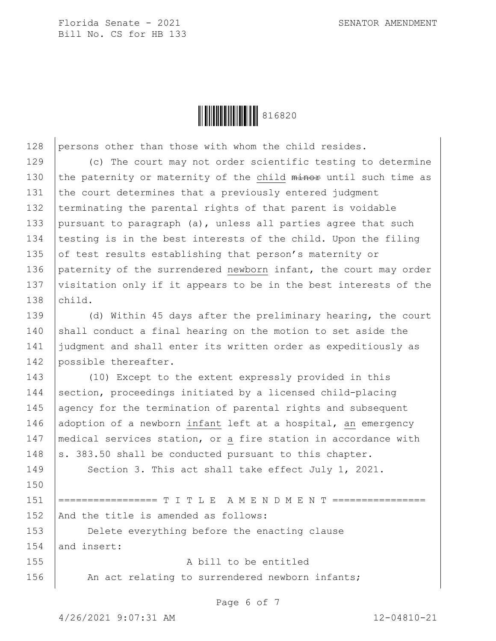**HEIRE EIRES AND ST 6820** 

128 persons other than those with whom the child resides.

129 (c) The court may not order scientific testing to determine 130 the paternity or maternity of the child minor until such time as 131 the court determines that a previously entered judgment 132 terminating the parental rights of that parent is voidable 133 pursuant to paragraph (a), unless all parties agree that such 134 testing is in the best interests of the child. Upon the filing 135 of test results establishing that person's maternity or 136 paternity of the surrendered newborn infant, the court may order 137 visitation only if it appears to be in the best interests of the 138 child.

139 (d) Within 45 days after the preliminary hearing, the court 140 shall conduct a final hearing on the motion to set aside the 141 judgment and shall enter its written order as expeditiously as 142 possible thereafter.

143 (10) Except to the extent expressly provided in this 144 section, proceedings initiated by a licensed child-placing 145 agency for the termination of parental rights and subsequent 146 adoption of a newborn infant left at a hospital, an emergency 147 medical services station, or a fire station in accordance with 148  $\vert$  s. 383.50 shall be conducted pursuant to this chapter. 149 Section 3. This act shall take effect July 1, 2021.

151 |================ T I T L E A M E N D M E N T ================ 152 And the title is amended as follows:

153 **Delete everything before the enacting clause**  $154$  and insert:

155 A bill to be entitled 156 | An act relating to surrendered newborn infants;

Page 6 of 7

150